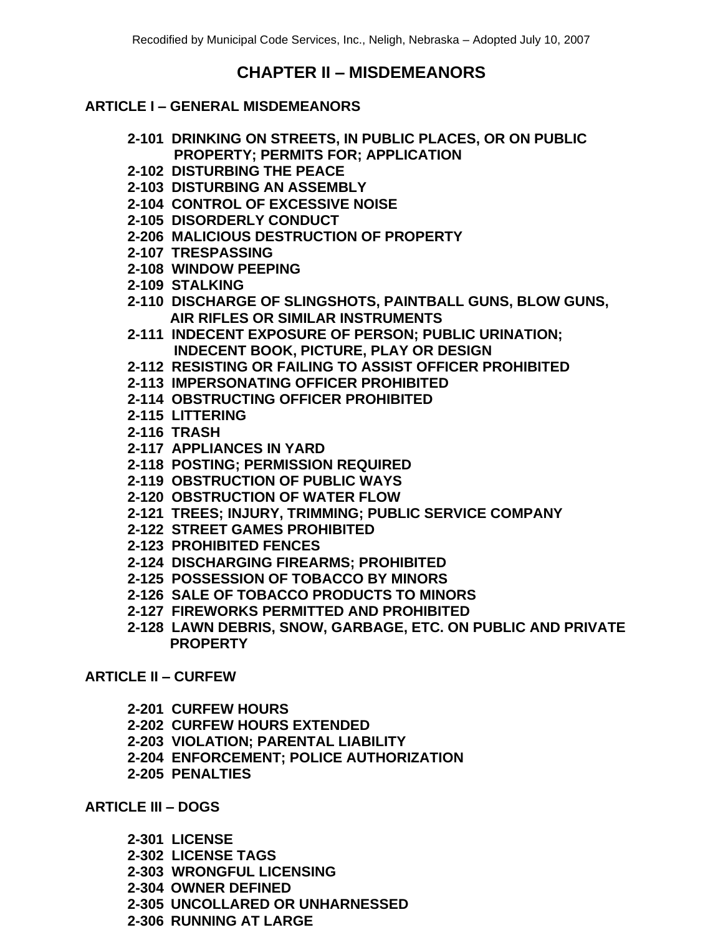# **CHAPTER II – MISDEMEANORS**

#### **ARTICLE I – GENERAL MISDEMEANORS**

- **2-101 DRINKING ON STREETS, IN PUBLIC PLACES, OR ON PUBLIC PROPERTY; PERMITS FOR; APPLICATION**
- **2-102 DISTURBING THE PEACE**
- **2-103 DISTURBING AN ASSEMBLY**
- **2-104 CONTROL OF EXCESSIVE NOISE**
- **2-105 DISORDERLY CONDUCT**
- **2-206 MALICIOUS DESTRUCTION OF PROPERTY**
- **2-107 TRESPASSING**
- **2-108 WINDOW PEEPING**
- **2-109 STALKING**
- **2-110 DISCHARGE OF SLINGSHOTS, PAINTBALL GUNS, BLOW GUNS, AIR RIFLES OR SIMILAR INSTRUMENTS**
- **2-111 INDECENT EXPOSURE OF PERSON; PUBLIC URINATION; INDECENT BOOK, PICTURE, PLAY OR DESIGN**
- **2-112 RESISTING OR FAILING TO ASSIST OFFICER PROHIBITED**
- **2-113 IMPERSONATING OFFICER PROHIBITED**
- **2-114 OBSTRUCTING OFFICER PROHIBITED**
- **2-115 LITTERING**
- **2-116 TRASH**
- **2-117 APPLIANCES IN YARD**
- **2-118 POSTING; PERMISSION REQUIRED**
- **2-119 OBSTRUCTION OF PUBLIC WAYS**
- **2-120 OBSTRUCTION OF WATER FLOW**
- **2-121 TREES; INJURY, TRIMMING; PUBLIC SERVICE COMPANY**
- **2-122 STREET GAMES PROHIBITED**
- **2-123 PROHIBITED FENCES**
- **2-124 DISCHARGING FIREARMS; PROHIBITED**
- **2-125 POSSESSION OF TOBACCO BY MINORS**
- **2-126 SALE OF TOBACCO PRODUCTS TO MINORS**
- **2-127 FIREWORKS PERMITTED AND PROHIBITED**
- **2-128 LAWN DEBRIS, SNOW, GARBAGE, ETC. ON PUBLIC AND PRIVATE PROPERTY**

# **ARTICLE II – CURFEW**

- **2-201 CURFEW HOURS**
- **2-202 CURFEW HOURS EXTENDED**
- **2-203 VIOLATION; PARENTAL LIABILITY**
- **2-204 ENFORCEMENT; POLICE AUTHORIZATION**
- **2-205 PENALTIES**

#### **ARTICLE III – DOGS**

- **2-301 LICENSE**
- **2-302 LICENSE TAGS**
- **2-303 WRONGFUL LICENSING**
- **2-304 OWNER DEFINED**
- **2-305 UNCOLLARED OR UNHARNESSED**
- **2-306 RUNNING AT LARGE**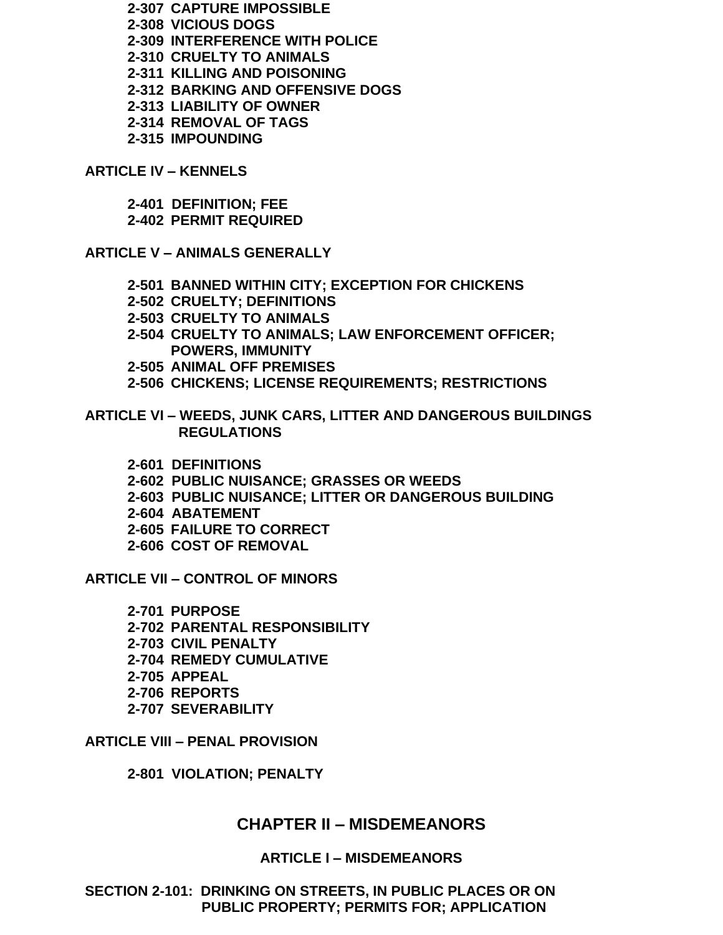**2-307 CAPTURE IMPOSSIBLE 2-308 VICIOUS DOGS 2-309 INTERFERENCE WITH POLICE 2-310 CRUELTY TO ANIMALS 2-311 KILLING AND POISONING 2-312 BARKING AND OFFENSIVE DOGS 2-313 LIABILITY OF OWNER 2-314 REMOVAL OF TAGS 2-315 IMPOUNDING**

**ARTICLE IV – KENNELS**

**2-401 DEFINITION; FEE 2-402 PERMIT REQUIRED**

**ARTICLE V – ANIMALS GENERALLY**

- **2-501 BANNED WITHIN CITY; EXCEPTION FOR CHICKENS**
- **2-502 CRUELTY; DEFINITIONS**
- **2-503 CRUELTY TO ANIMALS**
- **2-504 CRUELTY TO ANIMALS; LAW ENFORCEMENT OFFICER; POWERS, IMMUNITY**
- **2-505 ANIMAL OFF PREMISES**
- **2-506 CHICKENS; LICENSE REQUIREMENTS; RESTRICTIONS**
- **ARTICLE VI – WEEDS, JUNK CARS, LITTER AND DANGEROUS BUILDINGS REGULATIONS**
	- **2-601 DEFINITIONS**
	- **2-602 PUBLIC NUISANCE; GRASSES OR WEEDS**
	- **2-603 PUBLIC NUISANCE; LITTER OR DANGEROUS BUILDING**
	- **2-604 ABATEMENT**
	- **2-605 FAILURE TO CORRECT**
	- **2-606 COST OF REMOVAL**

**ARTICLE VII – CONTROL OF MINORS**

**2-701 PURPOSE 2-702 PARENTAL RESPONSIBILITY 2-703 CIVIL PENALTY 2-704 REMEDY CUMULATIVE 2-705 APPEAL 2-706 REPORTS 2-707 SEVERABILITY**

**ARTICLE VIII – PENAL PROVISION**

**2-801 VIOLATION; PENALTY**

#### **CHAPTER II – MISDEMEANORS**

#### **ARTICLE I – MISDEMEANORS**

**SECTION 2-101: DRINKING ON STREETS, IN PUBLIC PLACES OR ON PUBLIC PROPERTY; PERMITS FOR; APPLICATION**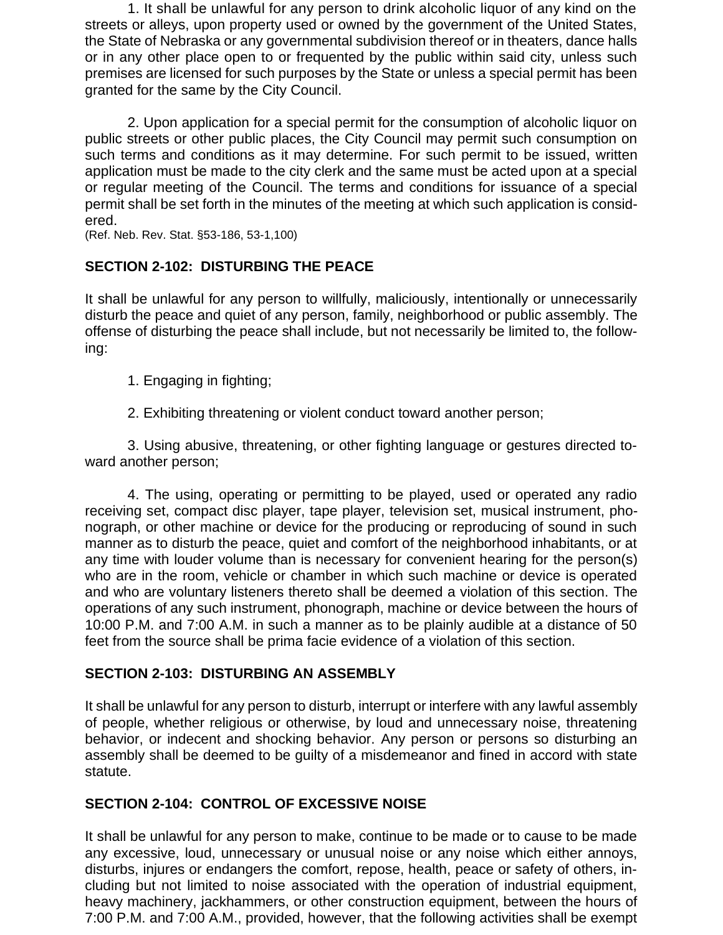1. It shall be unlawful for any person to drink alcoholic liquor of any kind on the streets or alleys, upon property used or owned by the government of the United States, the State of Nebraska or any governmental subdivision thereof or in theaters, dance halls or in any other place open to or frequented by the public within said city, unless such premises are licensed for such purposes by the State or unless a special permit has been granted for the same by the City Council.

2. Upon application for a special permit for the consumption of alcoholic liquor on public streets or other public places, the City Council may permit such consumption on such terms and conditions as it may determine. For such permit to be issued, written application must be made to the city clerk and the same must be acted upon at a special or regular meeting of the Council. The terms and conditions for issuance of a special permit shall be set forth in the minutes of the meeting at which such application is considered.

(Ref. Neb. Rev. Stat. §53-186, 53-1,100)

# **SECTION 2-102: DISTURBING THE PEACE**

It shall be unlawful for any person to willfully, maliciously, intentionally or unnecessarily disturb the peace and quiet of any person, family, neighborhood or public assembly. The offense of disturbing the peace shall include, but not necessarily be limited to, the following:

- 1. Engaging in fighting;
- 2. Exhibiting threatening or violent conduct toward another person;

3. Using abusive, threatening, or other fighting language or gestures directed toward another person;

4. The using, operating or permitting to be played, used or operated any radio receiving set, compact disc player, tape player, television set, musical instrument, phonograph, or other machine or device for the producing or reproducing of sound in such manner as to disturb the peace, quiet and comfort of the neighborhood inhabitants, or at any time with louder volume than is necessary for convenient hearing for the person(s) who are in the room, vehicle or chamber in which such machine or device is operated and who are voluntary listeners thereto shall be deemed a violation of this section. The operations of any such instrument, phonograph, machine or device between the hours of 10:00 P.M. and 7:00 A.M. in such a manner as to be plainly audible at a distance of 50 feet from the source shall be prima facie evidence of a violation of this section.

# **SECTION 2-103: DISTURBING AN ASSEMBLY**

It shall be unlawful for any person to disturb, interrupt or interfere with any lawful assembly of people, whether religious or otherwise, by loud and unnecessary noise, threatening behavior, or indecent and shocking behavior. Any person or persons so disturbing an assembly shall be deemed to be guilty of a misdemeanor and fined in accord with state statute.

# **SECTION 2-104: CONTROL OF EXCESSIVE NOISE**

It shall be unlawful for any person to make, continue to be made or to cause to be made any excessive, loud, unnecessary or unusual noise or any noise which either annoys, disturbs, injures or endangers the comfort, repose, health, peace or safety of others, including but not limited to noise associated with the operation of industrial equipment, heavy machinery, jackhammers, or other construction equipment, between the hours of 7:00 P.M. and 7:00 A.M., provided, however, that the following activities shall be exempt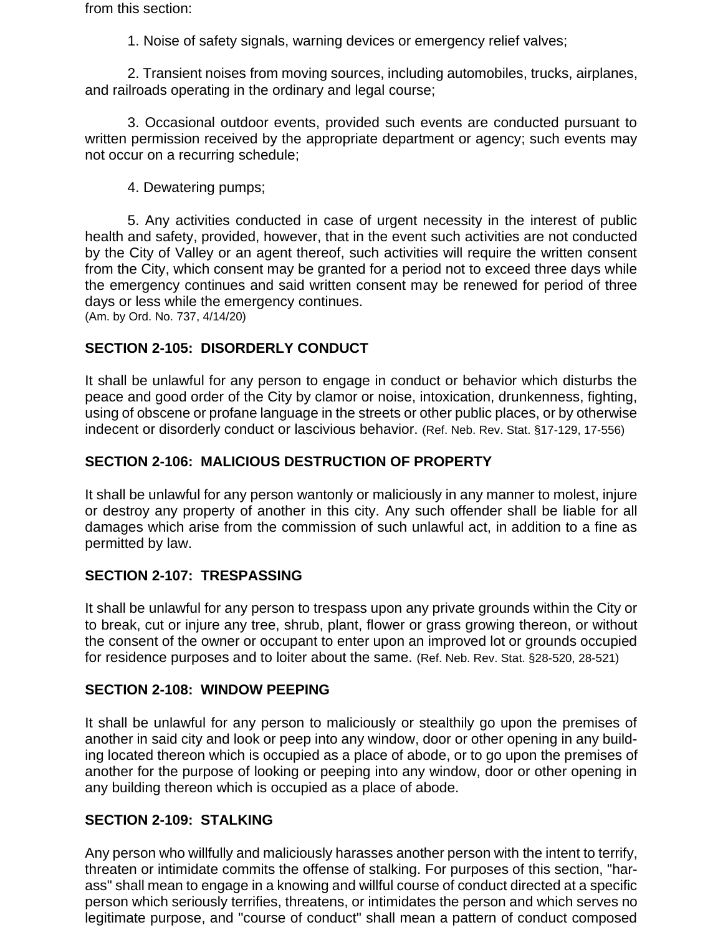from this section:

1. Noise of safety signals, warning devices or emergency relief valves;

2. Transient noises from moving sources, including automobiles, trucks, airplanes, and railroads operating in the ordinary and legal course;

3. Occasional outdoor events, provided such events are conducted pursuant to written permission received by the appropriate department or agency; such events may not occur on a recurring schedule;

4. Dewatering pumps;

5. Any activities conducted in case of urgent necessity in the interest of public health and safety, provided, however, that in the event such activities are not conducted by the City of Valley or an agent thereof, such activities will require the written consent from the City, which consent may be granted for a period not to exceed three days while the emergency continues and said written consent may be renewed for period of three days or less while the emergency continues.

(Am. by Ord. No. 737, 4/14/20)

# **SECTION 2-105: DISORDERLY CONDUCT**

It shall be unlawful for any person to engage in conduct or behavior which disturbs the peace and good order of the City by clamor or noise, intoxication, drunkenness, fighting, using of obscene or profane language in the streets or other public places, or by otherwise indecent or disorderly conduct or lascivious behavior. (Ref. Neb. Rev. Stat. §17-129, 17-556)

# **SECTION 2-106: MALICIOUS DESTRUCTION OF PROPERTY**

It shall be unlawful for any person wantonly or maliciously in any manner to molest, injure or destroy any property of another in this city. Any such offender shall be liable for all damages which arise from the commission of such unlawful act, in addition to a fine as permitted by law.

# **SECTION 2-107: TRESPASSING**

It shall be unlawful for any person to trespass upon any private grounds within the City or to break, cut or injure any tree, shrub, plant, flower or grass growing thereon, or without the consent of the owner or occupant to enter upon an improved lot or grounds occupied for residence purposes and to loiter about the same. (Ref. Neb. Rev. Stat. §28-520, 28-521)

# **SECTION 2-108: WINDOW PEEPING**

It shall be unlawful for any person to maliciously or stealthily go upon the premises of another in said city and look or peep into any window, door or other opening in any building located thereon which is occupied as a place of abode, or to go upon the premises of another for the purpose of looking or peeping into any window, door or other opening in any building thereon which is occupied as a place of abode.

# **SECTION 2-109: STALKING**

Any person who willfully and maliciously harasses another person with the intent to terrify, threaten or intimidate commits the offense of stalking. For purposes of this section, "harass" shall mean to engage in a knowing and willful course of conduct directed at a specific person which seriously terrifies, threatens, or intimidates the person and which serves no legitimate purpose, and "course of conduct" shall mean a pattern of conduct composed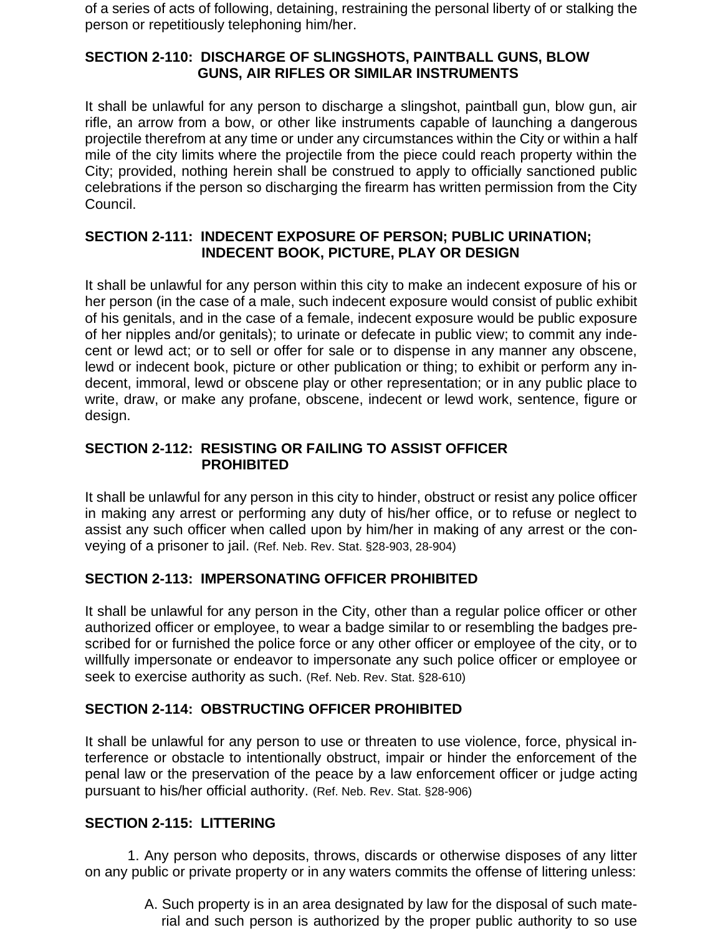of a series of acts of following, detaining, restraining the personal liberty of or stalking the person or repetitiously telephoning him/her.

#### **SECTION 2-110: DISCHARGE OF SLINGSHOTS, PAINTBALL GUNS, BLOW GUNS, AIR RIFLES OR SIMILAR INSTRUMENTS**

It shall be unlawful for any person to discharge a slingshot, paintball gun, blow gun, air rifle, an arrow from a bow, or other like instruments capable of launching a dangerous projectile therefrom at any time or under any circumstances within the City or within a half mile of the city limits where the projectile from the piece could reach property within the City; provided, nothing herein shall be construed to apply to officially sanctioned public celebrations if the person so discharging the firearm has written permission from the City Council.

#### **SECTION 2-111: INDECENT EXPOSURE OF PERSON; PUBLIC URINATION; INDECENT BOOK, PICTURE, PLAY OR DESIGN**

It shall be unlawful for any person within this city to make an indecent exposure of his or her person (in the case of a male, such indecent exposure would consist of public exhibit of his genitals, and in the case of a female, indecent exposure would be public exposure of her nipples and/or genitals); to urinate or defecate in public view; to commit any indecent or lewd act; or to sell or offer for sale or to dispense in any manner any obscene, lewd or indecent book, picture or other publication or thing; to exhibit or perform any indecent, immoral, lewd or obscene play or other representation; or in any public place to write, draw, or make any profane, obscene, indecent or lewd work, sentence, figure or design.

#### **SECTION 2-112: RESISTING OR FAILING TO ASSIST OFFICER PROHIBITED**

It shall be unlawful for any person in this city to hinder, obstruct or resist any police officer in making any arrest or performing any duty of his/her office, or to refuse or neglect to assist any such officer when called upon by him/her in making of any arrest or the conveying of a prisoner to jail. (Ref. Neb. Rev. Stat. §28-903, 28-904)

# **SECTION 2-113: IMPERSONATING OFFICER PROHIBITED**

It shall be unlawful for any person in the City, other than a regular police officer or other authorized officer or employee, to wear a badge similar to or resembling the badges prescribed for or furnished the police force or any other officer or employee of the city, or to willfully impersonate or endeavor to impersonate any such police officer or employee or seek to exercise authority as such. (Ref. Neb. Rev. Stat. §28-610)

# **SECTION 2-114: OBSTRUCTING OFFICER PROHIBITED**

It shall be unlawful for any person to use or threaten to use violence, force, physical interference or obstacle to intentionally obstruct, impair or hinder the enforcement of the penal law or the preservation of the peace by a law enforcement officer or judge acting pursuant to his/her official authority. (Ref. Neb. Rev. Stat. §28-906)

# **SECTION 2-115: LITTERING**

1. Any person who deposits, throws, discards or otherwise disposes of any litter on any public or private property or in any waters commits the offense of littering unless:

> A. Such property is in an area designated by law for the disposal of such material and such person is authorized by the proper public authority to so use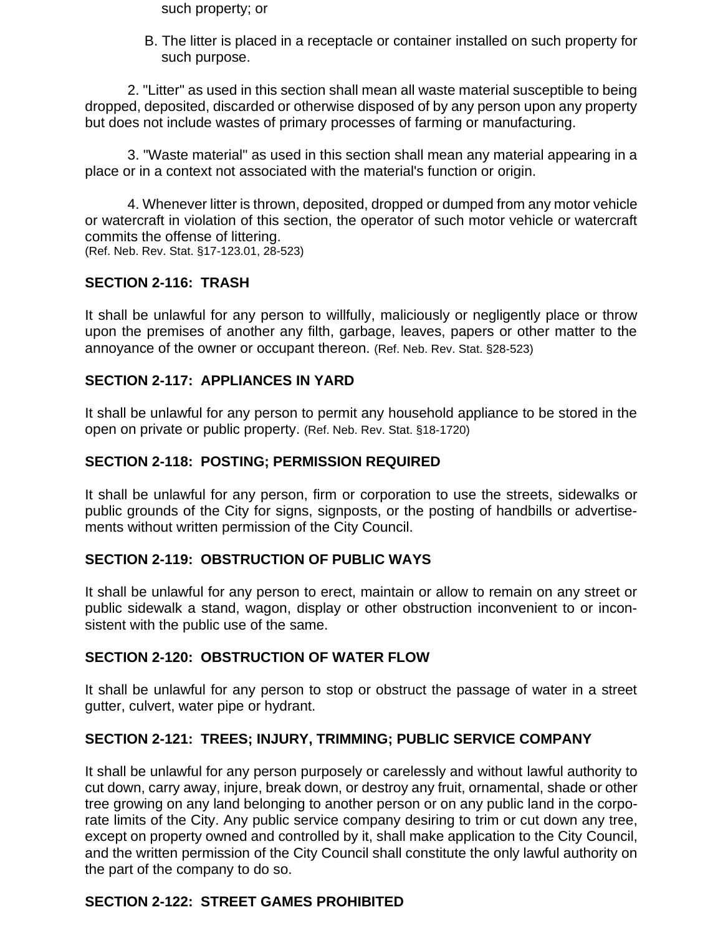such property; or

B. The litter is placed in a receptacle or container installed on such property for such purpose.

2. "Litter" as used in this section shall mean all waste material susceptible to being dropped, deposited, discarded or otherwise disposed of by any person upon any property but does not include wastes of primary processes of farming or manufacturing.

3. "Waste material" as used in this section shall mean any material appearing in a place or in a context not associated with the material's function or origin.

4. Whenever litter is thrown, deposited, dropped or dumped from any motor vehicle or watercraft in violation of this section, the operator of such motor vehicle or watercraft commits the offense of littering. (Ref. Neb. Rev. Stat. §17-123.01, 28-523)

# **SECTION 2-116: TRASH**

It shall be unlawful for any person to willfully, maliciously or negligently place or throw upon the premises of another any filth, garbage, leaves, papers or other matter to the annoyance of the owner or occupant thereon. (Ref. Neb. Rev. Stat. §28-523)

#### **SECTION 2-117: APPLIANCES IN YARD**

It shall be unlawful for any person to permit any household appliance to be stored in the open on private or public property. (Ref. Neb. Rev. Stat. §18-1720)

#### **SECTION 2-118: POSTING; PERMISSION REQUIRED**

It shall be unlawful for any person, firm or corporation to use the streets, sidewalks or public grounds of the City for signs, signposts, or the posting of handbills or advertisements without written permission of the City Council.

#### **SECTION 2-119: OBSTRUCTION OF PUBLIC WAYS**

It shall be unlawful for any person to erect, maintain or allow to remain on any street or public sidewalk a stand, wagon, display or other obstruction inconvenient to or inconsistent with the public use of the same.

#### **SECTION 2-120: OBSTRUCTION OF WATER FLOW**

It shall be unlawful for any person to stop or obstruct the passage of water in a street gutter, culvert, water pipe or hydrant.

#### **SECTION 2-121: TREES; INJURY, TRIMMING; PUBLIC SERVICE COMPANY**

It shall be unlawful for any person purposely or carelessly and without lawful authority to cut down, carry away, injure, break down, or destroy any fruit, ornamental, shade or other tree growing on any land belonging to another person or on any public land in the corporate limits of the City. Any public service company desiring to trim or cut down any tree, except on property owned and controlled by it, shall make application to the City Council, and the written permission of the City Council shall constitute the only lawful authority on the part of the company to do so.

#### **SECTION 2-122: STREET GAMES PROHIBITED**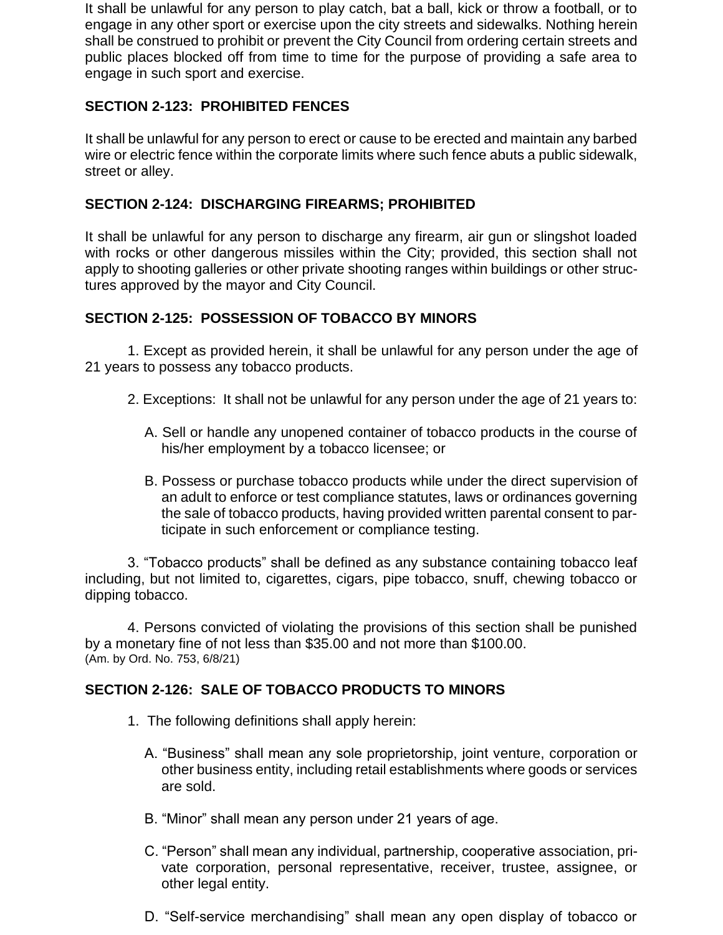It shall be unlawful for any person to play catch, bat a ball, kick or throw a football, or to engage in any other sport or exercise upon the city streets and sidewalks. Nothing herein shall be construed to prohibit or prevent the City Council from ordering certain streets and public places blocked off from time to time for the purpose of providing a safe area to engage in such sport and exercise.

# **SECTION 2-123: PROHIBITED FENCES**

It shall be unlawful for any person to erect or cause to be erected and maintain any barbed wire or electric fence within the corporate limits where such fence abuts a public sidewalk, street or alley.

# **SECTION 2-124: DISCHARGING FIREARMS; PROHIBITED**

It shall be unlawful for any person to discharge any firearm, air gun or slingshot loaded with rocks or other dangerous missiles within the City; provided, this section shall not apply to shooting galleries or other private shooting ranges within buildings or other structures approved by the mayor and City Council.

# **SECTION 2-125: POSSESSION OF TOBACCO BY MINORS**

1. Except as provided herein, it shall be unlawful for any person under the age of 21 years to possess any tobacco products.

- 2. Exceptions: It shall not be unlawful for any person under the age of 21 years to:
	- A. Sell or handle any unopened container of tobacco products in the course of his/her employment by a tobacco licensee; or
	- B. Possess or purchase tobacco products while under the direct supervision of an adult to enforce or test compliance statutes, laws or ordinances governing the sale of tobacco products, having provided written parental consent to participate in such enforcement or compliance testing.

3. "Tobacco products" shall be defined as any substance containing tobacco leaf including, but not limited to, cigarettes, cigars, pipe tobacco, snuff, chewing tobacco or dipping tobacco.

4. Persons convicted of violating the provisions of this section shall be punished by a monetary fine of not less than \$35.00 and not more than \$100.00. (Am. by Ord. No. 753, 6/8/21)

# **SECTION 2-126: SALE OF TOBACCO PRODUCTS TO MINORS**

- 1. The following definitions shall apply herein:
	- A. "Business" shall mean any sole proprietorship, joint venture, corporation or other business entity, including retail establishments where goods or services are sold.
	- B. "Minor" shall mean any person under 21 years of age.
	- C. "Person" shall mean any individual, partnership, cooperative association, private corporation, personal representative, receiver, trustee, assignee, or other legal entity.
	- D. "Self-service merchandising" shall mean any open display of tobacco or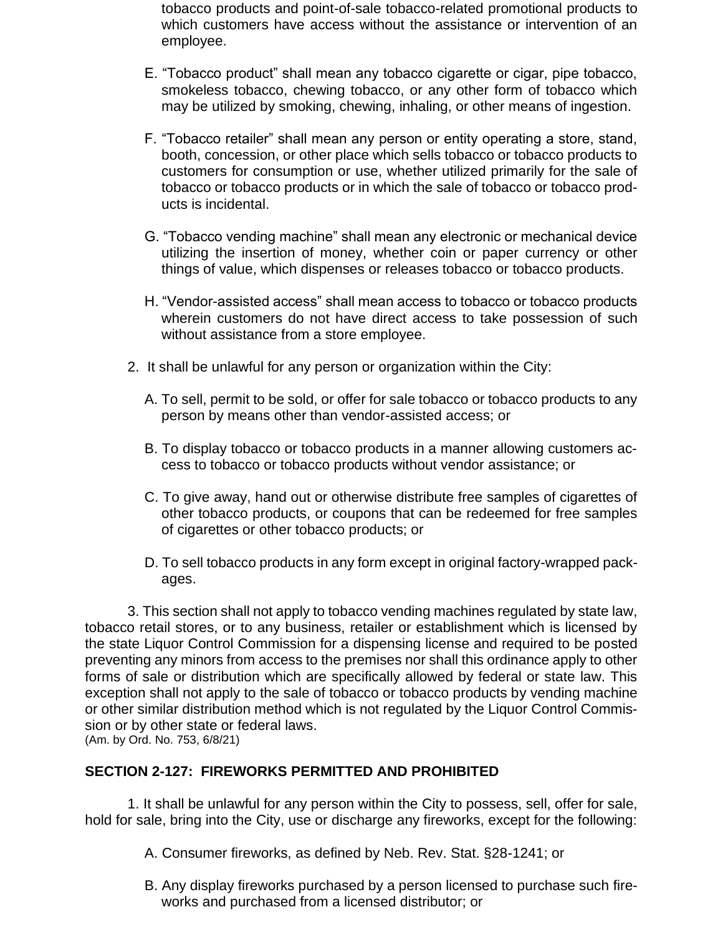tobacco products and point-of-sale tobacco-related promotional products to which customers have access without the assistance or intervention of an employee.

- E. "Tobacco product" shall mean any tobacco cigarette or cigar, pipe tobacco, smokeless tobacco, chewing tobacco, or any other form of tobacco which may be utilized by smoking, chewing, inhaling, or other means of ingestion.
- F. "Tobacco retailer" shall mean any person or entity operating a store, stand, booth, concession, or other place which sells tobacco or tobacco products to customers for consumption or use, whether utilized primarily for the sale of tobacco or tobacco products or in which the sale of tobacco or tobacco products is incidental.
- G. "Tobacco vending machine" shall mean any electronic or mechanical device utilizing the insertion of money, whether coin or paper currency or other things of value, which dispenses or releases tobacco or tobacco products.
- H. "Vendor-assisted access" shall mean access to tobacco or tobacco products wherein customers do not have direct access to take possession of such without assistance from a store employee.
- 2. It shall be unlawful for any person or organization within the City:
	- A. To sell, permit to be sold, or offer for sale tobacco or tobacco products to any person by means other than vendor-assisted access; or
	- B. To display tobacco or tobacco products in a manner allowing customers access to tobacco or tobacco products without vendor assistance; or
	- C. To give away, hand out or otherwise distribute free samples of cigarettes of other tobacco products, or coupons that can be redeemed for free samples of cigarettes or other tobacco products; or
	- D. To sell tobacco products in any form except in original factory-wrapped packages.

3. This section shall not apply to tobacco vending machines regulated by state law, tobacco retail stores, or to any business, retailer or establishment which is licensed by the state Liquor Control Commission for a dispensing license and required to be posted preventing any minors from access to the premises nor shall this ordinance apply to other forms of sale or distribution which are specifically allowed by federal or state law. This exception shall not apply to the sale of tobacco or tobacco products by vending machine or other similar distribution method which is not regulated by the Liquor Control Commission or by other state or federal laws. (Am. by Ord. No. 753, 6/8/21)

#### **SECTION 2-127: FIREWORKS PERMITTED AND PROHIBITED**

1. It shall be unlawful for any person within the City to possess, sell, offer for sale, hold for sale, bring into the City, use or discharge any fireworks, except for the following:

- A. Consumer fireworks, as defined by Neb. Rev. Stat. §28-1241; or
- B. Any display fireworks purchased by a person licensed to purchase such fireworks and purchased from a licensed distributor; or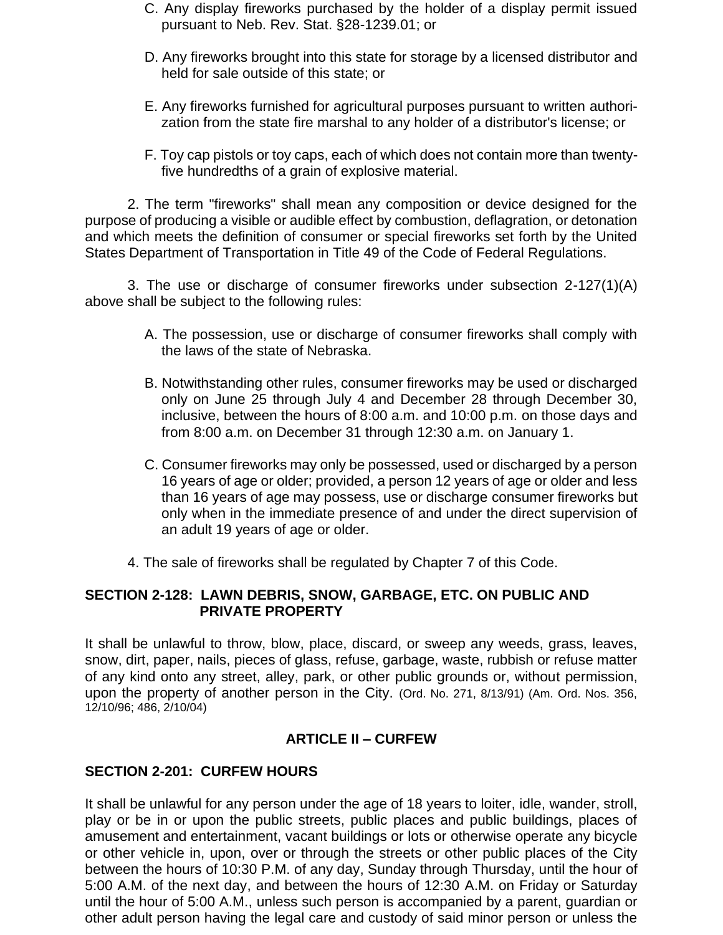- C. Any display fireworks purchased by the holder of a display permit issued pursuant to Neb. Rev. Stat. §28-1239.01; or
- D. Any fireworks brought into this state for storage by a licensed distributor and held for sale outside of this state; or
- E. Any fireworks furnished for agricultural purposes pursuant to written authorization from the state fire marshal to any holder of a distributor's license; or
- F. Toy cap pistols or toy caps, each of which does not contain more than twentyfive hundredths of a grain of explosive material.

2. The term "fireworks" shall mean any composition or device designed for the purpose of producing a visible or audible effect by combustion, deflagration, or detonation and which meets the definition of consumer or special fireworks set forth by the United States Department of Transportation in Title 49 of the Code of Federal Regulations.

3. The use or discharge of consumer fireworks under subsection 2-127(1)(A) above shall be subject to the following rules:

- A. The possession, use or discharge of consumer fireworks shall comply with the laws of the state of Nebraska.
- B. Notwithstanding other rules, consumer fireworks may be used or discharged only on June 25 through July 4 and December 28 through December 30, inclusive, between the hours of 8:00 a.m. and 10:00 p.m. on those days and from 8:00 a.m. on December 31 through 12:30 a.m. on January 1.
- C. Consumer fireworks may only be possessed, used or discharged by a person 16 years of age or older; provided, a person 12 years of age or older and less than 16 years of age may possess, use or discharge consumer fireworks but only when in the immediate presence of and under the direct supervision of an adult 19 years of age or older.
- 4. The sale of fireworks shall be regulated by Chapter 7 of this Code.

#### **SECTION 2-128: LAWN DEBRIS, SNOW, GARBAGE, ETC. ON PUBLIC AND PRIVATE PROPERTY**

It shall be unlawful to throw, blow, place, discard, or sweep any weeds, grass, leaves, snow, dirt, paper, nails, pieces of glass, refuse, garbage, waste, rubbish or refuse matter of any kind onto any street, alley, park, or other public grounds or, without permission, upon the property of another person in the City. (Ord. No. 271, 8/13/91) (Am. Ord. Nos. 356, 12/10/96; 486, 2/10/04)

#### **ARTICLE II – CURFEW**

#### **SECTION 2-201: CURFEW HOURS**

It shall be unlawful for any person under the age of 18 years to loiter, idle, wander, stroll, play or be in or upon the public streets, public places and public buildings, places of amusement and entertainment, vacant buildings or lots or otherwise operate any bicycle or other vehicle in, upon, over or through the streets or other public places of the City between the hours of 10:30 P.M. of any day, Sunday through Thursday, until the hour of 5:00 A.M. of the next day, and between the hours of 12:30 A.M. on Friday or Saturday until the hour of 5:00 A.M., unless such person is accompanied by a parent, guardian or other adult person having the legal care and custody of said minor person or unless the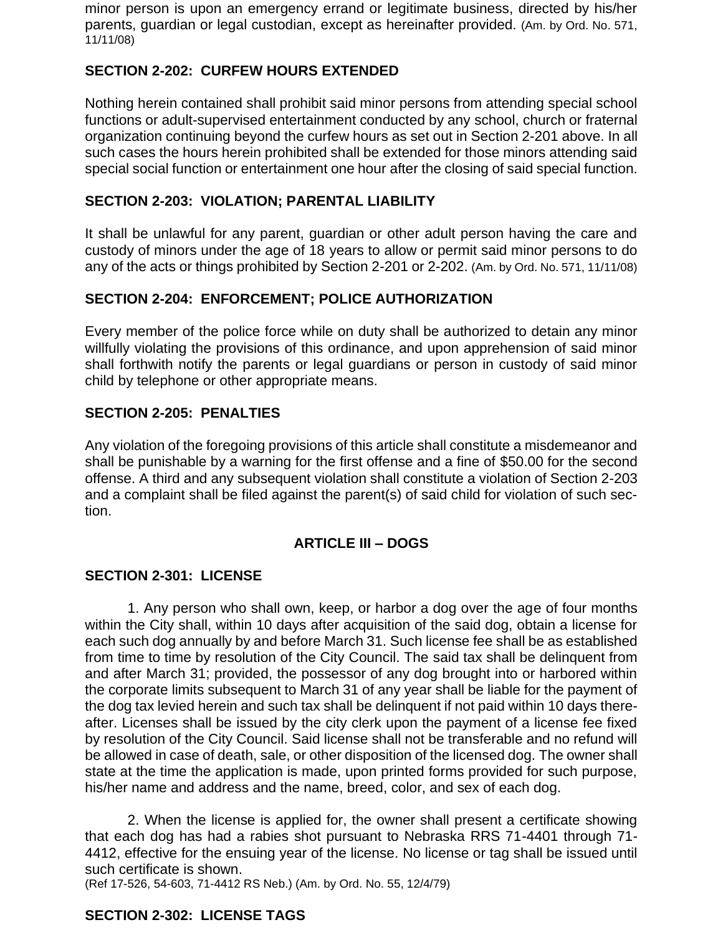minor person is upon an emergency errand or legitimate business, directed by his/her parents, guardian or legal custodian, except as hereinafter provided. (Am. by Ord. No. 571, 11/11/08)

# **SECTION 2-202: CURFEW HOURS EXTENDED**

Nothing herein contained shall prohibit said minor persons from attending special school functions or adult-supervised entertainment conducted by any school, church or fraternal organization continuing beyond the curfew hours as set out in Section 2-201 above. In all such cases the hours herein prohibited shall be extended for those minors attending said special social function or entertainment one hour after the closing of said special function.

# **SECTION 2-203: VIOLATION; PARENTAL LIABILITY**

It shall be unlawful for any parent, guardian or other adult person having the care and custody of minors under the age of 18 years to allow or permit said minor persons to do any of the acts or things prohibited by Section 2-201 or 2-202. (Am. by Ord. No. 571, 11/11/08)

# **SECTION 2-204: ENFORCEMENT; POLICE AUTHORIZATION**

Every member of the police force while on duty shall be authorized to detain any minor willfully violating the provisions of this ordinance, and upon apprehension of said minor shall forthwith notify the parents or legal guardians or person in custody of said minor child by telephone or other appropriate means.

#### **SECTION 2-205: PENALTIES**

Any violation of the foregoing provisions of this article shall constitute a misdemeanor and shall be punishable by a warning for the first offense and a fine of \$50.00 for the second offense. A third and any subsequent violation shall constitute a violation of Section 2-203 and a complaint shall be filed against the parent(s) of said child for violation of such section.

# **ARTICLE III – DOGS**

# **SECTION 2-301: LICENSE**

1. Any person who shall own, keep, or harbor a dog over the age of four months within the City shall, within 10 days after acquisition of the said dog, obtain a license for each such dog annually by and before March 31. Such license fee shall be as established from time to time by resolution of the City Council. The said tax shall be delinquent from and after March 31; provided, the possessor of any dog brought into or harbored within the corporate limits subsequent to March 31 of any year shall be liable for the payment of the dog tax levied herein and such tax shall be delinquent if not paid within 10 days thereafter. Licenses shall be issued by the city clerk upon the payment of a license fee fixed by resolution of the City Council. Said license shall not be transferable and no refund will be allowed in case of death, sale, or other disposition of the licensed dog. The owner shall state at the time the application is made, upon printed forms provided for such purpose, his/her name and address and the name, breed, color, and sex of each dog.

2. When the license is applied for, the owner shall present a certificate showing that each dog has had a rabies shot pursuant to Nebraska RRS 71-4401 through 71- 4412, effective for the ensuing year of the license. No license or tag shall be issued until such certificate is shown.

(Ref 17-526, 54-603, 71-4412 RS Neb.) (Am. by Ord. No. 55, 12/4/79)

# **SECTION 2-302: LICENSE TAGS**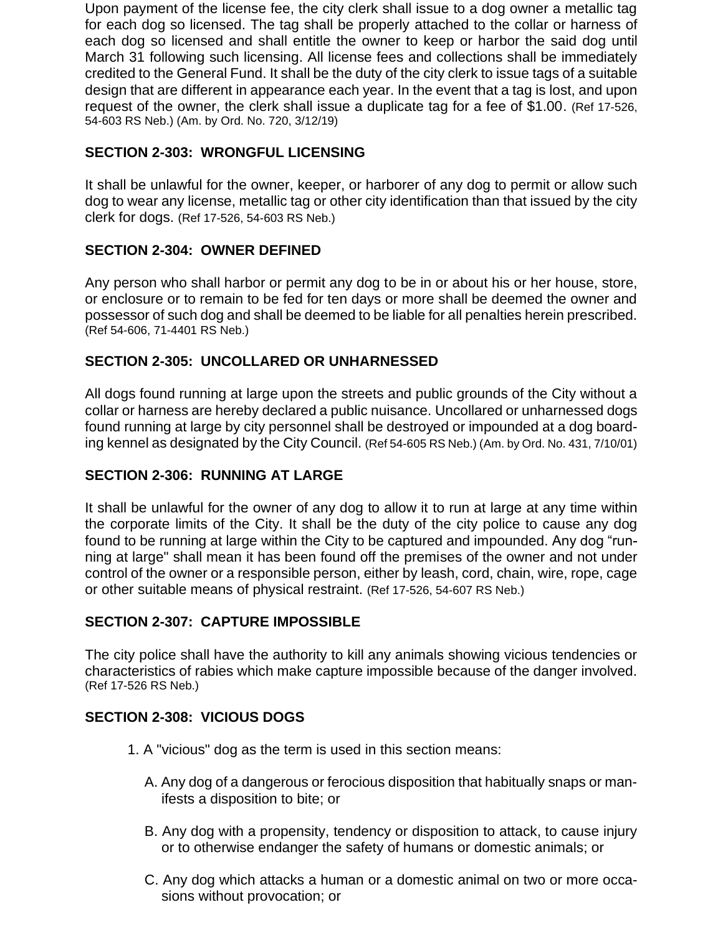Upon payment of the license fee, the city clerk shall issue to a dog owner a metallic tag for each dog so licensed. The tag shall be properly attached to the collar or harness of each dog so licensed and shall entitle the owner to keep or harbor the said dog until March 31 following such licensing. All license fees and collections shall be immediately credited to the General Fund. It shall be the duty of the city clerk to issue tags of a suitable design that are different in appearance each year. In the event that a tag is lost, and upon request of the owner, the clerk shall issue a duplicate tag for a fee of \$1.00. (Ref 17-526, 54-603 RS Neb.) (Am. by Ord. No. 720, 3/12/19)

# **SECTION 2-303: WRONGFUL LICENSING**

It shall be unlawful for the owner, keeper, or harborer of any dog to permit or allow such dog to wear any license, metallic tag or other city identification than that issued by the city clerk for dogs. (Ref 17-526, 54-603 RS Neb.)

# **SECTION 2-304: OWNER DEFINED**

Any person who shall harbor or permit any dog to be in or about his or her house, store, or enclosure or to remain to be fed for ten days or more shall be deemed the owner and possessor of such dog and shall be deemed to be liable for all penalties herein prescribed. (Ref 54-606, 71-4401 RS Neb.)

# **SECTION 2-305: UNCOLLARED OR UNHARNESSED**

All dogs found running at large upon the streets and public grounds of the City without a collar or harness are hereby declared a public nuisance. Uncollared or unharnessed dogs found running at large by city personnel shall be destroyed or impounded at a dog boarding kennel as designated by the City Council. (Ref 54-605 RS Neb.) (Am. by Ord. No. 431, 7/10/01)

#### **SECTION 2-306: RUNNING AT LARGE**

It shall be unlawful for the owner of any dog to allow it to run at large at any time within the corporate limits of the City. It shall be the duty of the city police to cause any dog found to be running at large within the City to be captured and impounded. Any dog "running at large" shall mean it has been found off the premises of the owner and not under control of the owner or a responsible person, either by leash, cord, chain, wire, rope, cage or other suitable means of physical restraint. (Ref 17-526, 54-607 RS Neb.)

# **SECTION 2-307: CAPTURE IMPOSSIBLE**

The city police shall have the authority to kill any animals showing vicious tendencies or characteristics of rabies which make capture impossible because of the danger involved. (Ref 17-526 RS Neb.)

# **SECTION 2-308: VICIOUS DOGS**

- 1. A "vicious" dog as the term is used in this section means:
	- A. Any dog of a dangerous or ferocious disposition that habitually snaps or manifests a disposition to bite; or
	- B. Any dog with a propensity, tendency or disposition to attack, to cause injury or to otherwise endanger the safety of humans or domestic animals; or
	- C. Any dog which attacks a human or a domestic animal on two or more occasions without provocation; or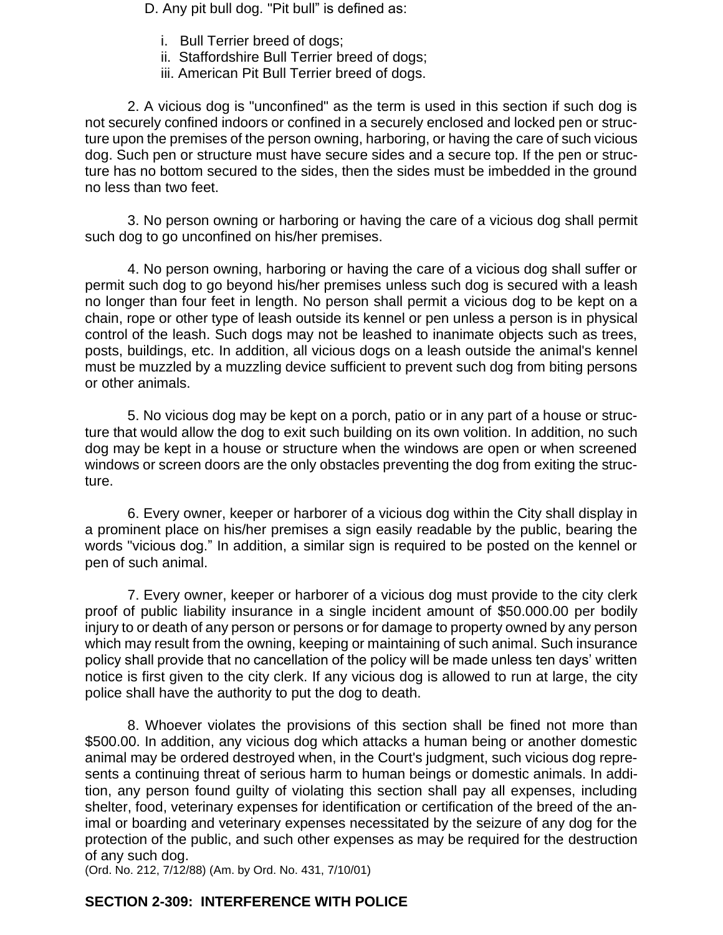D. Any pit bull dog. "Pit bull" is defined as:

- i. Bull Terrier breed of dogs;
- ii. Staffordshire Bull Terrier breed of dogs;
- iii. American Pit Bull Terrier breed of dogs.

2. A vicious dog is "unconfined" as the term is used in this section if such dog is not securely confined indoors or confined in a securely enclosed and locked pen or structure upon the premises of the person owning, harboring, or having the care of such vicious dog. Such pen or structure must have secure sides and a secure top. If the pen or structure has no bottom secured to the sides, then the sides must be imbedded in the ground no less than two feet.

3. No person owning or harboring or having the care of a vicious dog shall permit such dog to go unconfined on his/her premises.

4. No person owning, harboring or having the care of a vicious dog shall suffer or permit such dog to go beyond his/her premises unless such dog is secured with a leash no longer than four feet in length. No person shall permit a vicious dog to be kept on a chain, rope or other type of leash outside its kennel or pen unless a person is in physical control of the leash. Such dogs may not be leashed to inanimate objects such as trees, posts, buildings, etc. In addition, all vicious dogs on a leash outside the animal's kennel must be muzzled by a muzzling device sufficient to prevent such dog from biting persons or other animals.

5. No vicious dog may be kept on a porch, patio or in any part of a house or structure that would allow the dog to exit such building on its own volition. In addition, no such dog may be kept in a house or structure when the windows are open or when screened windows or screen doors are the only obstacles preventing the dog from exiting the structure.

6. Every owner, keeper or harborer of a vicious dog within the City shall display in a prominent place on his/her premises a sign easily readable by the public, bearing the words "vicious dog." In addition, a similar sign is required to be posted on the kennel or pen of such animal.

7. Every owner, keeper or harborer of a vicious dog must provide to the city clerk proof of public liability insurance in a single incident amount of \$50.000.00 per bodily injury to or death of any person or persons or for damage to property owned by any person which may result from the owning, keeping or maintaining of such animal. Such insurance policy shall provide that no cancellation of the policy will be made unless ten days' written notice is first given to the city clerk. If any vicious dog is allowed to run at large, the city police shall have the authority to put the dog to death.

8. Whoever violates the provisions of this section shall be fined not more than \$500.00. In addition, any vicious dog which attacks a human being or another domestic animal may be ordered destroyed when, in the Court's judgment, such vicious dog represents a continuing threat of serious harm to human beings or domestic animals. In addition, any person found guilty of violating this section shall pay all expenses, including shelter, food, veterinary expenses for identification or certification of the breed of the animal or boarding and veterinary expenses necessitated by the seizure of any dog for the protection of the public, and such other expenses as may be required for the destruction of any such dog.

(Ord. No. 212, 7/12/88) (Am. by Ord. No. 431, 7/10/01)

# **SECTION 2-309: INTERFERENCE WITH POLICE**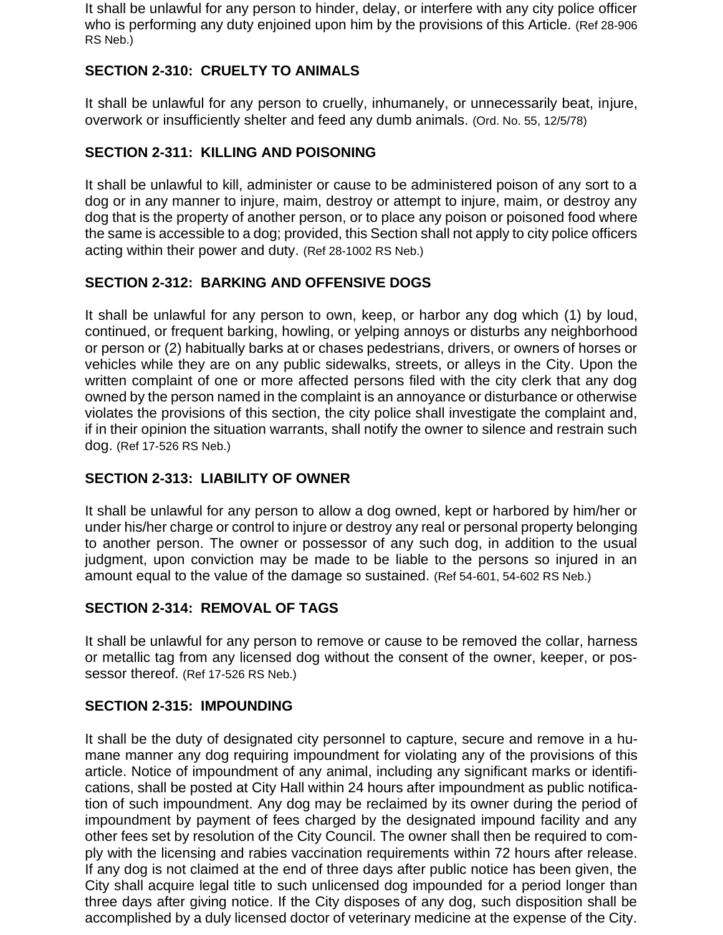It shall be unlawful for any person to hinder, delay, or interfere with any city police officer who is performing any duty enjoined upon him by the provisions of this Article. (Ref 28-906 RS Neb.)

# **SECTION 2-310: CRUELTY TO ANIMALS**

It shall be unlawful for any person to cruelly, inhumanely, or unnecessarily beat, injure, overwork or insufficiently shelter and feed any dumb animals. (Ord. No. 55, 12/5/78)

# **SECTION 2-311: KILLING AND POISONING**

It shall be unlawful to kill, administer or cause to be administered poison of any sort to a dog or in any manner to injure, maim, destroy or attempt to injure, maim, or destroy any dog that is the property of another person, or to place any poison or poisoned food where the same is accessible to a dog; provided, this Section shall not apply to city police officers acting within their power and duty. (Ref 28-1002 RS Neb.)

# **SECTION 2-312: BARKING AND OFFENSIVE DOGS**

It shall be unlawful for any person to own, keep, or harbor any dog which (1) by loud, continued, or frequent barking, howling, or yelping annoys or disturbs any neighborhood or person or (2) habitually barks at or chases pedestrians, drivers, or owners of horses or vehicles while they are on any public sidewalks, streets, or alleys in the City. Upon the written complaint of one or more affected persons filed with the city clerk that any dog owned by the person named in the complaint is an annoyance or disturbance or otherwise violates the provisions of this section, the city police shall investigate the complaint and, if in their opinion the situation warrants, shall notify the owner to silence and restrain such dog. (Ref 17-526 RS Neb.)

# **SECTION 2-313: LIABILITY OF OWNER**

It shall be unlawful for any person to allow a dog owned, kept or harbored by him/her or under his/her charge or control to injure or destroy any real or personal property belonging to another person. The owner or possessor of any such dog, in addition to the usual judgment, upon conviction may be made to be liable to the persons so injured in an amount equal to the value of the damage so sustained. (Ref 54-601, 54-602 RS Neb.)

# **SECTION 2-314: REMOVAL OF TAGS**

It shall be unlawful for any person to remove or cause to be removed the collar, harness or metallic tag from any licensed dog without the consent of the owner, keeper, or possessor thereof. (Ref 17-526 RS Neb.)

# **SECTION 2-315: IMPOUNDING**

It shall be the duty of designated city personnel to capture, secure and remove in a humane manner any dog requiring impoundment for violating any of the provisions of this article. Notice of impoundment of any animal, including any significant marks or identifications, shall be posted at City Hall within 24 hours after impoundment as public notification of such impoundment. Any dog may be reclaimed by its owner during the period of impoundment by payment of fees charged by the designated impound facility and any other fees set by resolution of the City Council. The owner shall then be required to comply with the licensing and rabies vaccination requirements within 72 hours after release. If any dog is not claimed at the end of three days after public notice has been given, the City shall acquire legal title to such unlicensed dog impounded for a period longer than three days after giving notice. If the City disposes of any dog, such disposition shall be accomplished by a duly licensed doctor of veterinary medicine at the expense of the City.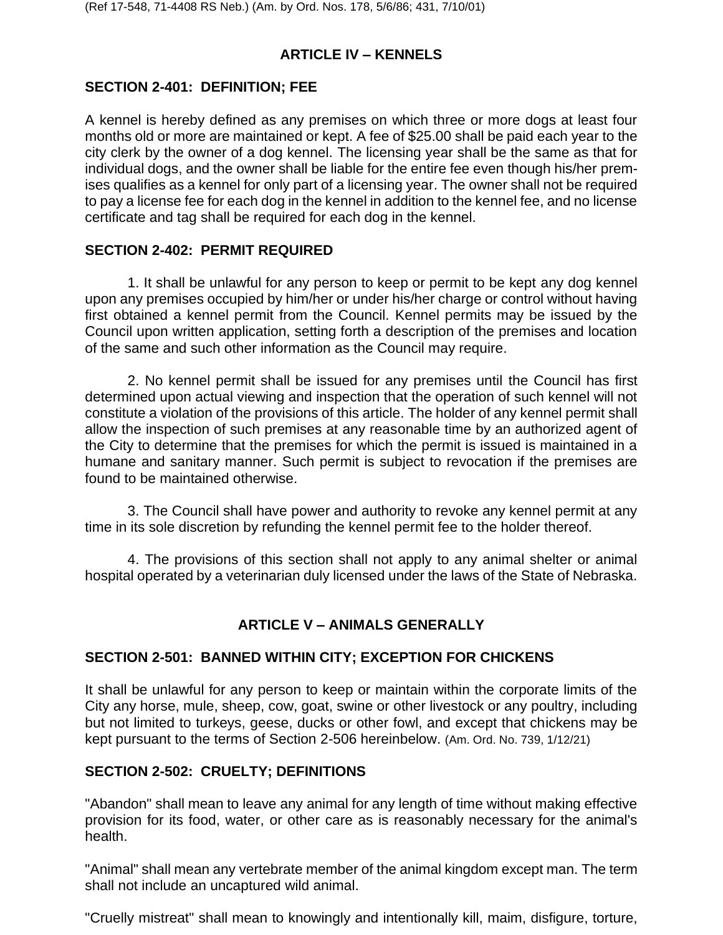# **ARTICLE IV – KENNELS**

# **SECTION 2-401: DEFINITION; FEE**

A kennel is hereby defined as any premises on which three or more dogs at least four months old or more are maintained or kept. A fee of \$25.00 shall be paid each year to the city clerk by the owner of a dog kennel. The licensing year shall be the same as that for individual dogs, and the owner shall be liable for the entire fee even though his/her premises qualifies as a kennel for only part of a licensing year. The owner shall not be required to pay a license fee for each dog in the kennel in addition to the kennel fee, and no license certificate and tag shall be required for each dog in the kennel.

# **SECTION 2-402: PERMIT REQUIRED**

1. It shall be unlawful for any person to keep or permit to be kept any dog kennel upon any premises occupied by him/her or under his/her charge or control without having first obtained a kennel permit from the Council. Kennel permits may be issued by the Council upon written application, setting forth a description of the premises and location of the same and such other information as the Council may require.

2. No kennel permit shall be issued for any premises until the Council has first determined upon actual viewing and inspection that the operation of such kennel will not constitute a violation of the provisions of this article. The holder of any kennel permit shall allow the inspection of such premises at any reasonable time by an authorized agent of the City to determine that the premises for which the permit is issued is maintained in a humane and sanitary manner. Such permit is subject to revocation if the premises are found to be maintained otherwise.

3. The Council shall have power and authority to revoke any kennel permit at any time in its sole discretion by refunding the kennel permit fee to the holder thereof.

4. The provisions of this section shall not apply to any animal shelter or animal hospital operated by a veterinarian duly licensed under the laws of the State of Nebraska.

# **ARTICLE V – ANIMALS GENERALLY**

# **SECTION 2-501: BANNED WITHIN CITY; EXCEPTION FOR CHICKENS**

It shall be unlawful for any person to keep or maintain within the corporate limits of the City any horse, mule, sheep, cow, goat, swine or other livestock or any poultry, including but not limited to turkeys, geese, ducks or other fowl, and except that chickens may be kept pursuant to the terms of Section 2-506 hereinbelow. (Am. Ord. No. 739, 1/12/21)

# **SECTION 2-502: CRUELTY; DEFINITIONS**

"Abandon" shall mean to leave any animal for any length of time without making effective provision for its food, water, or other care as is reasonably necessary for the animal's health.

"Animal" shall mean any vertebrate member of the animal kingdom except man. The term shall not include an uncaptured wild animal.

"Cruelly mistreat" shall mean to knowingly and intentionally kill, maim, disfigure, torture,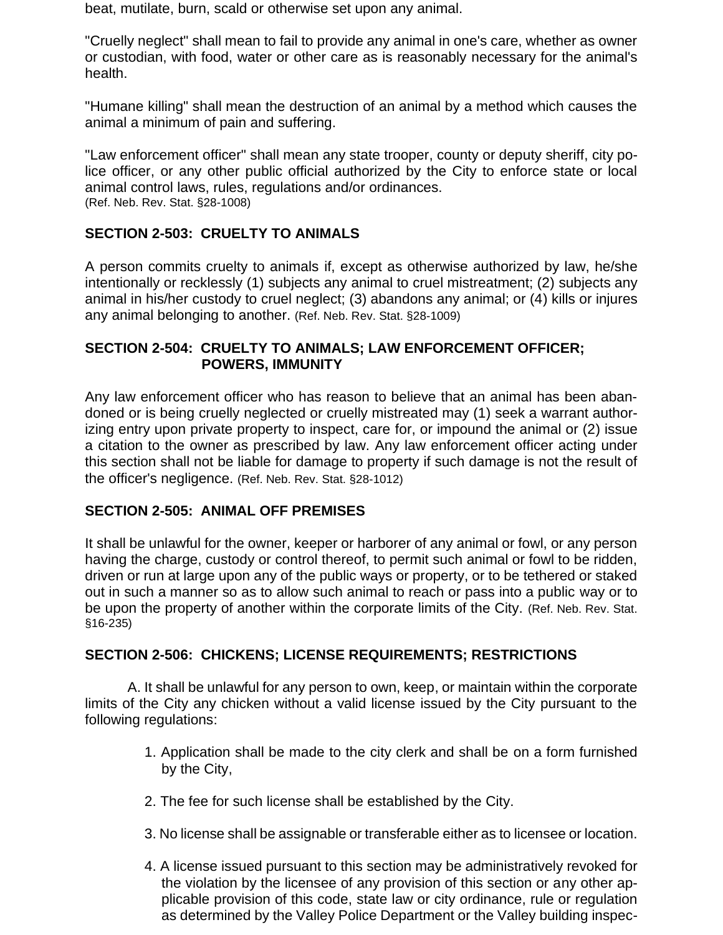beat, mutilate, burn, scald or otherwise set upon any animal.

"Cruelly neglect" shall mean to fail to provide any animal in one's care, whether as owner or custodian, with food, water or other care as is reasonably necessary for the animal's health.

"Humane killing" shall mean the destruction of an animal by a method which causes the animal a minimum of pain and suffering.

"Law enforcement officer" shall mean any state trooper, county or deputy sheriff, city police officer, or any other public official authorized by the City to enforce state or local animal control laws, rules, regulations and/or ordinances. (Ref. Neb. Rev. Stat. §28-1008)

#### **SECTION 2-503: CRUELTY TO ANIMALS**

A person commits cruelty to animals if, except as otherwise authorized by law, he/she intentionally or recklessly (1) subjects any animal to cruel mistreatment; (2) subjects any animal in his/her custody to cruel neglect; (3) abandons any animal; or (4) kills or injures any animal belonging to another. (Ref. Neb. Rev. Stat. §28-1009)

#### **SECTION 2-504: CRUELTY TO ANIMALS; LAW ENFORCEMENT OFFICER; POWERS, IMMUNITY**

Any law enforcement officer who has reason to believe that an animal has been abandoned or is being cruelly neglected or cruelly mistreated may (1) seek a warrant authorizing entry upon private property to inspect, care for, or impound the animal or (2) issue a citation to the owner as prescribed by law. Any law enforcement officer acting under this section shall not be liable for damage to property if such damage is not the result of the officer's negligence. (Ref. Neb. Rev. Stat. §28-1012)

#### **SECTION 2-505: ANIMAL OFF PREMISES**

It shall be unlawful for the owner, keeper or harborer of any animal or fowl, or any person having the charge, custody or control thereof, to permit such animal or fowl to be ridden, driven or run at large upon any of the public ways or property, or to be tethered or staked out in such a manner so as to allow such animal to reach or pass into a public way or to be upon the property of another within the corporate limits of the City. (Ref. Neb. Rev. Stat. §16-235)

#### **SECTION 2-506: CHICKENS; LICENSE REQUIREMENTS; RESTRICTIONS**

A. It shall be unlawful for any person to own, keep, or maintain within the corporate limits of the City any chicken without a valid license issued by the City pursuant to the following regulations:

- 1. Application shall be made to the city clerk and shall be on a form furnished by the City,
- 2. The fee for such license shall be established by the City.
- 3. No license shall be assignable or transferable either as to licensee or location.
- 4. A license issued pursuant to this section may be administratively revoked for the violation by the licensee of any provision of this section or any other applicable provision of this code, state law or city ordinance, rule or regulation as determined by the Valley Police Department or the Valley building inspec-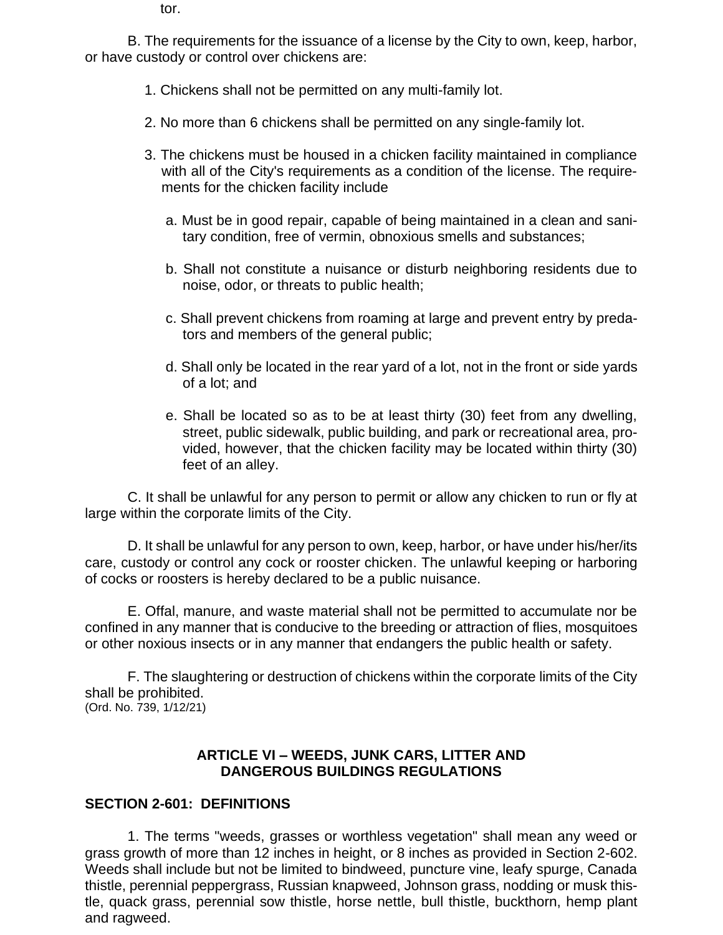tor.

B. The requirements for the issuance of a license by the City to own, keep, harbor, or have custody or control over chickens are:

- 1. Chickens shall not be permitted on any multi-family lot.
- 2. No more than 6 chickens shall be permitted on any single-family lot.
- 3. The chickens must be housed in a chicken facility maintained in compliance with all of the City's requirements as a condition of the license. The requirements for the chicken facility include
	- a. Must be in good repair, capable of being maintained in a clean and sanitary condition, free of vermin, obnoxious smells and substances;
	- b. Shall not constitute a nuisance or disturb neighboring residents due to noise, odor, or threats to public health;
	- c. Shall prevent chickens from roaming at large and prevent entry by predators and members of the general public;
	- d. Shall only be located in the rear yard of a lot, not in the front or side yards of a lot; and
	- e. Shall be located so as to be at least thirty (30) feet from any dwelling, street, public sidewalk, public building, and park or recreational area, provided, however, that the chicken facility may be located within thirty (30) feet of an alley.

C. It shall be unlawful for any person to permit or allow any chicken to run or fly at large within the corporate limits of the City.

D. It shall be unlawful for any person to own, keep, harbor, or have under his/her/its care, custody or control any cock or rooster chicken. The unlawful keeping or harboring of cocks or roosters is hereby declared to be a public nuisance.

E. Offal, manure, and waste material shall not be permitted to accumulate nor be confined in any manner that is conducive to the breeding or attraction of flies, mosquitoes or other noxious insects or in any manner that endangers the public health or safety.

F. The slaughtering or destruction of chickens within the corporate limits of the City shall be prohibited.

# (Ord. No. 739, 1/12/21)

#### **ARTICLE VI – WEEDS, JUNK CARS, LITTER AND DANGEROUS BUILDINGS REGULATIONS**

#### **SECTION 2-601: DEFINITIONS**

1. The terms "weeds, grasses or worthless vegetation" shall mean any weed or grass growth of more than 12 inches in height, or 8 inches as provided in Section 2-602. Weeds shall include but not be limited to bindweed, puncture vine, leafy spurge, Canada thistle, perennial peppergrass, Russian knapweed, Johnson grass, nodding or musk thistle, quack grass, perennial sow thistle, horse nettle, bull thistle, buckthorn, hemp plant and ragweed.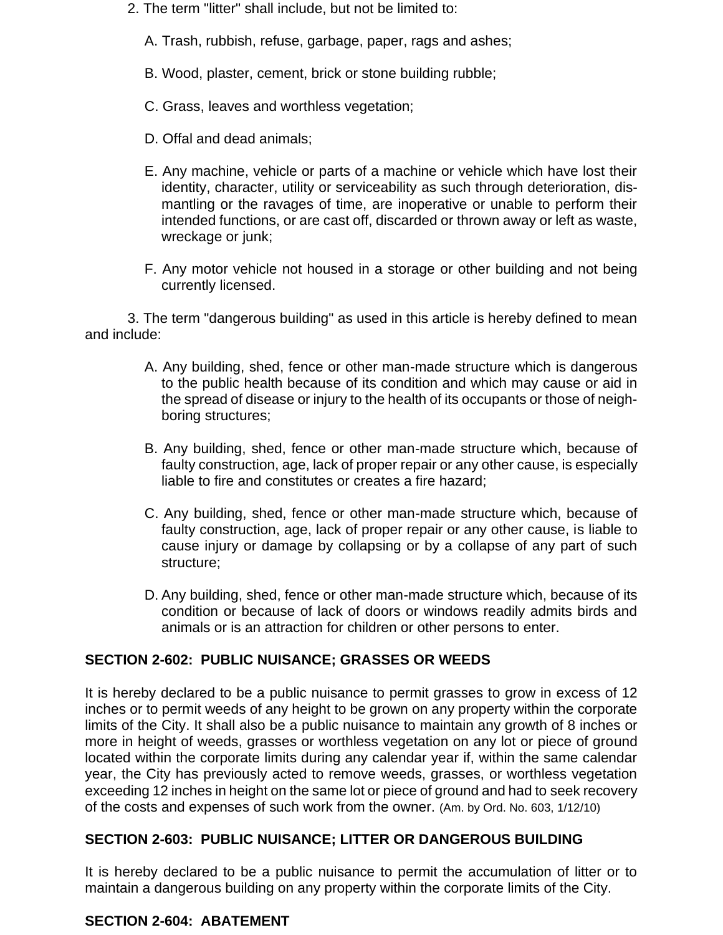2. The term "litter" shall include, but not be limited to:

A. Trash, rubbish, refuse, garbage, paper, rags and ashes;

- B. Wood, plaster, cement, brick or stone building rubble;
- C. Grass, leaves and worthless vegetation;
- D. Offal and dead animals;
- E. Any machine, vehicle or parts of a machine or vehicle which have lost their identity, character, utility or serviceability as such through deterioration, dismantling or the ravages of time, are inoperative or unable to perform their intended functions, or are cast off, discarded or thrown away or left as waste, wreckage or junk;
- F. Any motor vehicle not housed in a storage or other building and not being currently licensed.

3. The term "dangerous building" as used in this article is hereby defined to mean and include:

- A. Any building, shed, fence or other man-made structure which is dangerous to the public health because of its condition and which may cause or aid in the spread of disease or injury to the health of its occupants or those of neighboring structures;
- B. Any building, shed, fence or other man-made structure which, because of faulty construction, age, lack of proper repair or any other cause, is especially liable to fire and constitutes or creates a fire hazard;
- C. Any building, shed, fence or other man-made structure which, because of faulty construction, age, lack of proper repair or any other cause, is liable to cause injury or damage by collapsing or by a collapse of any part of such structure;
- D. Any building, shed, fence or other man-made structure which, because of its condition or because of lack of doors or windows readily admits birds and animals or is an attraction for children or other persons to enter.

# **SECTION 2-602: PUBLIC NUISANCE; GRASSES OR WEEDS**

It is hereby declared to be a public nuisance to permit grasses to grow in excess of 12 inches or to permit weeds of any height to be grown on any property within the corporate limits of the City. It shall also be a public nuisance to maintain any growth of 8 inches or more in height of weeds, grasses or worthless vegetation on any lot or piece of ground located within the corporate limits during any calendar year if, within the same calendar year, the City has previously acted to remove weeds, grasses, or worthless vegetation exceeding 12 inches in height on the same lot or piece of ground and had to seek recovery of the costs and expenses of such work from the owner. (Am. by Ord. No. 603, 1/12/10)

#### **SECTION 2-603: PUBLIC NUISANCE; LITTER OR DANGEROUS BUILDING**

It is hereby declared to be a public nuisance to permit the accumulation of litter or to maintain a dangerous building on any property within the corporate limits of the City.

# **SECTION 2-604: ABATEMENT**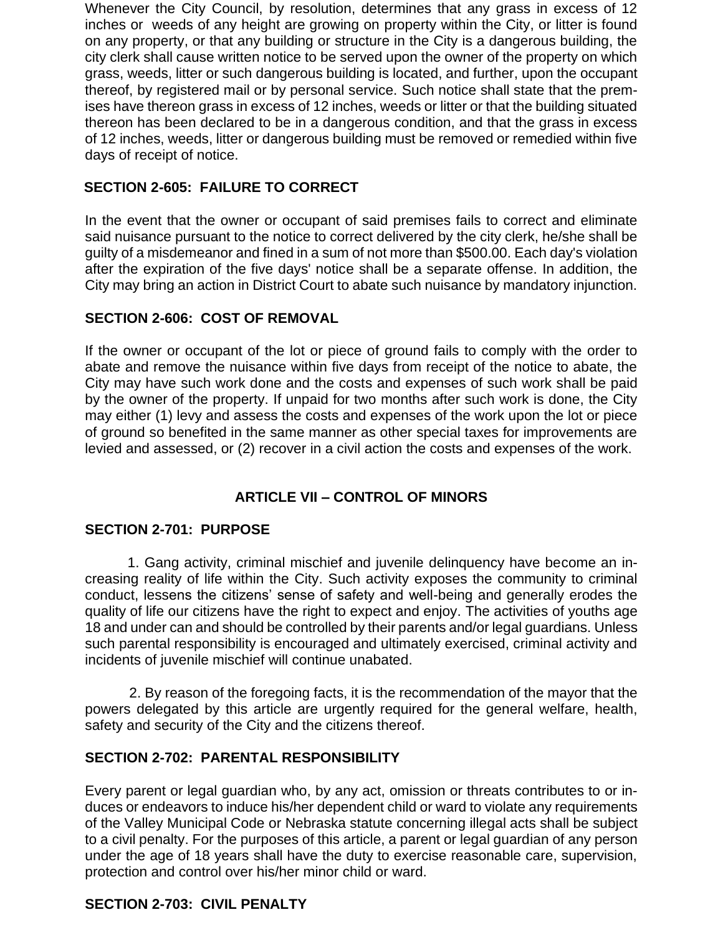Whenever the City Council, by resolution, determines that any grass in excess of 12 inches or weeds of any height are growing on property within the City, or litter is found on any property, or that any building or structure in the City is a dangerous building, the city clerk shall cause written notice to be served upon the owner of the property on which grass, weeds, litter or such dangerous building is located, and further, upon the occupant thereof, by registered mail or by personal service. Such notice shall state that the premises have thereon grass in excess of 12 inches, weeds or litter or that the building situated thereon has been declared to be in a dangerous condition, and that the grass in excess of 12 inches, weeds, litter or dangerous building must be removed or remedied within five days of receipt of notice.

# **SECTION 2-605: FAILURE TO CORRECT**

In the event that the owner or occupant of said premises fails to correct and eliminate said nuisance pursuant to the notice to correct delivered by the city clerk, he/she shall be guilty of a misdemeanor and fined in a sum of not more than \$500.00. Each day's violation after the expiration of the five days' notice shall be a separate offense. In addition, the City may bring an action in District Court to abate such nuisance by mandatory injunction.

# **SECTION 2-606: COST OF REMOVAL**

If the owner or occupant of the lot or piece of ground fails to comply with the order to abate and remove the nuisance within five days from receipt of the notice to abate, the City may have such work done and the costs and expenses of such work shall be paid by the owner of the property. If unpaid for two months after such work is done, the City may either (1) levy and assess the costs and expenses of the work upon the lot or piece of ground so benefited in the same manner as other special taxes for improvements are levied and assessed, or (2) recover in a civil action the costs and expenses of the work.

# **ARTICLE VII – CONTROL OF MINORS**

#### **SECTION 2-701: PURPOSE**

1. Gang activity, criminal mischief and juvenile delinquency have become an increasing reality of life within the City. Such activity exposes the community to criminal conduct, lessens the citizens' sense of safety and well-being and generally erodes the quality of life our citizens have the right to expect and enjoy. The activities of youths age 18 and under can and should be controlled by their parents and/or legal guardians. Unless such parental responsibility is encouraged and ultimately exercised, criminal activity and incidents of juvenile mischief will continue unabated.

2. By reason of the foregoing facts, it is the recommendation of the mayor that the powers delegated by this article are urgently required for the general welfare, health, safety and security of the City and the citizens thereof.

#### **SECTION 2-702: PARENTAL RESPONSIBILITY**

Every parent or legal guardian who, by any act, omission or threats contributes to or induces or endeavors to induce his/her dependent child or ward to violate any requirements of the Valley Municipal Code or Nebraska statute concerning illegal acts shall be subject to a civil penalty. For the purposes of this article, a parent or legal guardian of any person under the age of 18 years shall have the duty to exercise reasonable care, supervision, protection and control over his/her minor child or ward.

# **SECTION 2-703: CIVIL PENALTY**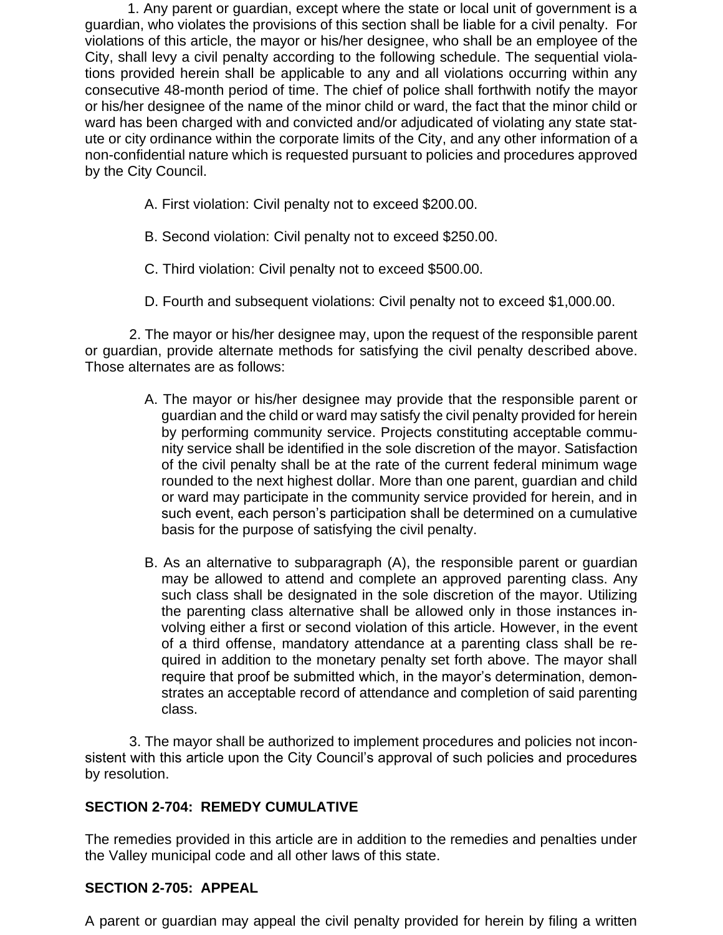1. Any parent or guardian, except where the state or local unit of government is a guardian, who violates the provisions of this section shall be liable for a civil penalty. For violations of this article, the mayor or his/her designee, who shall be an employee of the City, shall levy a civil penalty according to the following schedule. The sequential violations provided herein shall be applicable to any and all violations occurring within any consecutive 48-month period of time. The chief of police shall forthwith notify the mayor or his/her designee of the name of the minor child or ward, the fact that the minor child or ward has been charged with and convicted and/or adjudicated of violating any state statute or city ordinance within the corporate limits of the City, and any other information of a non-confidential nature which is requested pursuant to policies and procedures approved by the City Council.

- A. First violation: Civil penalty not to exceed \$200.00.
- B. Second violation: Civil penalty not to exceed \$250.00.
- C. Third violation: Civil penalty not to exceed \$500.00.
- D. Fourth and subsequent violations: Civil penalty not to exceed \$1,000.00.

2. The mayor or his/her designee may, upon the request of the responsible parent or guardian, provide alternate methods for satisfying the civil penalty described above. Those alternates are as follows:

- A. The mayor or his/her designee may provide that the responsible parent or guardian and the child or ward may satisfy the civil penalty provided for herein by performing community service. Projects constituting acceptable community service shall be identified in the sole discretion of the mayor. Satisfaction of the civil penalty shall be at the rate of the current federal minimum wage rounded to the next highest dollar. More than one parent, guardian and child or ward may participate in the community service provided for herein, and in such event, each person's participation shall be determined on a cumulative basis for the purpose of satisfying the civil penalty.
- B. As an alternative to subparagraph (A), the responsible parent or guardian may be allowed to attend and complete an approved parenting class. Any such class shall be designated in the sole discretion of the mayor. Utilizing the parenting class alternative shall be allowed only in those instances involving either a first or second violation of this article. However, in the event of a third offense, mandatory attendance at a parenting class shall be required in addition to the monetary penalty set forth above. The mayor shall require that proof be submitted which, in the mayor's determination, demonstrates an acceptable record of attendance and completion of said parenting class.

3. The mayor shall be authorized to implement procedures and policies not inconsistent with this article upon the City Council's approval of such policies and procedures by resolution.

# **SECTION 2-704: REMEDY CUMULATIVE**

The remedies provided in this article are in addition to the remedies and penalties under the Valley municipal code and all other laws of this state.

#### **SECTION 2-705: APPEAL**

A parent or guardian may appeal the civil penalty provided for herein by filing a written